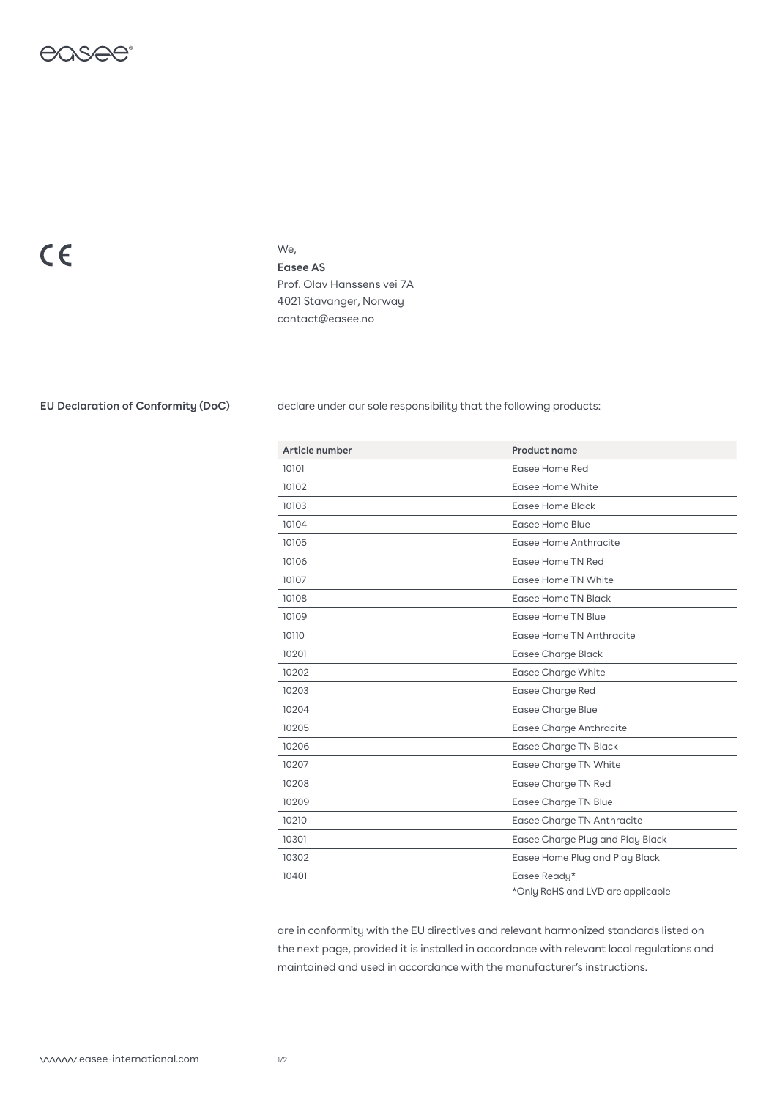

## $C \in$

## We,

**Easee AS** Prof. Olav Hanssens vei 7A 4021 Stavanger, Norway contact@easee.no

**EU Declaration of Conformity (DoC)** declare under our sole responsibility that the following products:

| Article number | Product name                     |
|----------------|----------------------------------|
| 10101          | Easee Home Red                   |
| 10102          | Easee Home White                 |
| 10103          | Easee Home Black                 |
| 10104          | Easee Home Blue                  |
| 10105          | Easee Home Anthracite            |
| 10106          | Easee Home TN Red                |
| 10107          | Easee Home TN White              |
| 10108          | Easee Home TN Black              |
| 10109          | Easee Home TN Blue               |
| 10110          | Easee Home TN Anthracite         |
| 10201          | Easee Charge Black               |
| 10202          | <b>Easee Charge White</b>        |
| 10203          | <b>Easee Charge Red</b>          |
| 10204          | <b>Easee Charge Blue</b>         |
| 10205          | Easee Charge Anthracite          |
| 10206          | <b>Easee Charge TN Black</b>     |
| 10207          | <b>Easee Charge TN White</b>     |
| 10208          | <b>Easee Charge TN Red</b>       |
| 10209          | <b>Easee Charge TN Blue</b>      |
| 10210          | Easee Charge TN Anthracite       |
| 10301          | Easee Charge Plug and Play Black |
| 10302          | Easee Home Plug and Play Black   |
| 10401          | Easee Ready*                     |
|                |                                  |

\*Only RoHS and LVD are applicable

are in conformity with the EU directives and relevant harmonized standards listed on the next page, provided it is installed in accordance with relevant local regulations and maintained and used in accordance with the manufacturer's instructions.